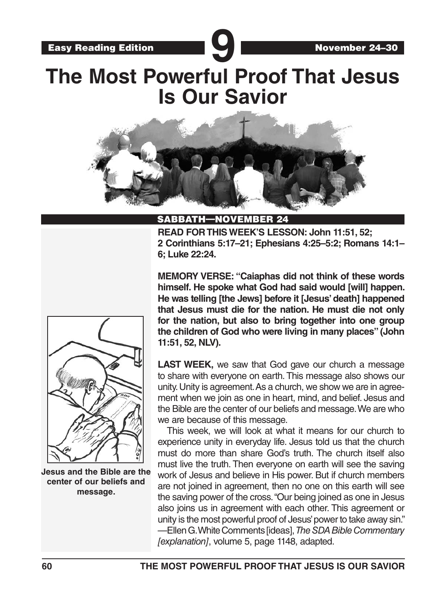# Easy Reading Edition **9** November 24–30 **The Most Powerful Proof That Jesus Is Our Savior**



### SABBATH—NOVEMBER 24

**READ FOR THIS WEEK'S LESSON: John 11:51, 52; 2 Corinthians 5:17–21; Ephesians 4:25–5:2; Romans 14:1– 6; Luke 22:24.**



**Jesus and the Bible are the center of our beliefs and message.**

**MEMORY VERSE: "Caiaphas did not think of these words himself. He spoke what God had said would [will] happen. He was telling [the Jews] before it [Jesus' death] happened that Jesus must die for the nation. He must die not only for the nation, but also to bring together into one group the children of God who were living in many places" (John 11:51, 52, NLV).**

**LAST WEEK,** we saw that God gave our church a message to share with everyone on earth. This message also shows our unity. Unity is agreement. As a church, we show we are in agreement when we join as one in heart, mind, and belief. Jesus and the Bible are the center of our beliefs and message. We are who we are because of this message.

This week, we will look at what it means for our church to experience unity in everyday life. Jesus told us that the church must do more than share God's truth. The church itself also must live the truth. Then everyone on earth will see the saving work of Jesus and believe in His power. But if church members are not joined in agreement, then no one on this earth will see the saving power of the cross. "Our being joined as one in Jesus also joins us in agreement with each other. This agreement or unity is the most powerful proof of Jesus' power to take away sin." —Ellen G. White Comments [ideas], *The SDA Bible Commentary [explanation]*, volume 5, page 1148, adapted.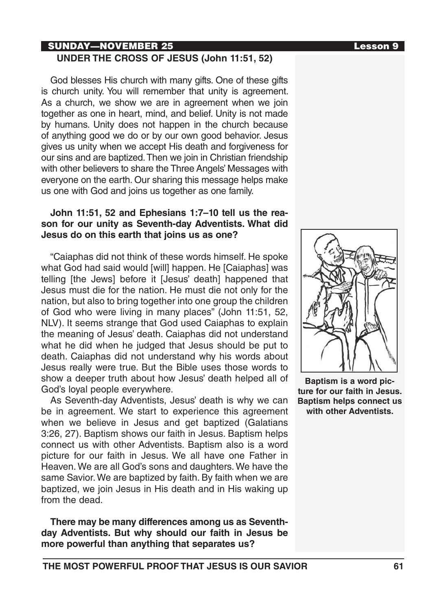## SUNDAY—NOVEMBER 25 Lesson 9 **UNDER THE CROSS OF JESUS (John 11:51, 52)**

God blesses His church with many gifts. One of these gifts is church unity. You will remember that unity is agreement. As a church, we show we are in agreement when we join together as one in heart, mind, and belief. Unity is not made by humans. Unity does not happen in the church because of anything good we do or by our own good behavior. Jesus gives us unity when we accept His death and forgiveness for our sins and are baptized. Then we join in Christian friendship with other believers to share the Three Angels' Messages with everyone on the earth. Our sharing this message helps make us one with God and joins us together as one family.

# **John 11:51, 52 and Ephesians 1:7–10 tell us the reason for our unity as Seventh-day Adventists. What did Jesus do on this earth that joins us as one?**

"Caiaphas did not think of these words himself. He spoke what God had said would [will] happen. He [Caiaphas] was telling [the Jews] before it [Jesus' death] happened that Jesus must die for the nation. He must die not only for the nation, but also to bring together into one group the children of God who were living in many places" (John 11:51, 52, NLV). It seems strange that God used Caiaphas to explain the meaning of Jesus' death. Caiaphas did not understand what he did when he judged that Jesus should be put to death. Caiaphas did not understand why his words about Jesus really were true. But the Bible uses those words to show a deeper truth about how Jesus' death helped all of God's loyal people everywhere.

As Seventh-day Adventists, Jesus' death is why we can be in agreement. We start to experience this agreement when we believe in Jesus and get baptized (Galatians 3:26, 27). Baptism shows our faith in Jesus. Baptism helps connect us with other Adventists. Baptism also is a word picture for our faith in Jesus. We all have one Father in Heaven. We are all God's sons and daughters. We have the same Savior. We are baptized by faith. By faith when we are baptized, we join Jesus in His death and in His waking up from the dead.

**There may be many differences among us as Seventhday Adventists. But why should our faith in Jesus be more powerful than anything that separates us?**



**Baptism is a word picture for our faith in Jesus. Baptism helps connect us with other Adventists.**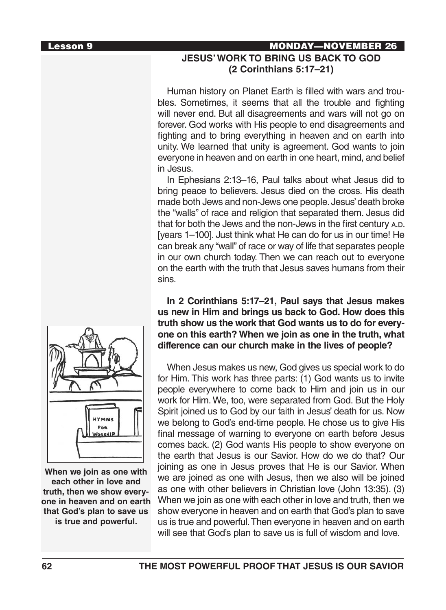# Lesson 9 MONDAY—NOVEMBER 26 **JESUS' WORK TO BRING US BACK TO GOD (2 Corinthians 5:17–21)**

Human history on Planet Earth is filled with wars and troubles. Sometimes, it seems that all the trouble and fighting will never end. But all disagreements and wars will not go on forever. God works with His people to end disagreements and fighting and to bring everything in heaven and on earth into unity. We learned that unity is agreement. God wants to join everyone in heaven and on earth in one heart, mind, and belief in Jesus.

In Ephesians 2:13–16, Paul talks about what Jesus did to bring peace to believers. Jesus died on the cross. His death made both Jews and non-Jews one people. Jesus' death broke the "walls" of race and religion that separated them. Jesus did that for both the Jews and the non-Jews in the first century A.D. [years 1–100]. Just think what He can do for us in our time! He can break any "wall" of race or way of life that separates people in our own church today. Then we can reach out to everyone on the earth with the truth that Jesus saves humans from their sins.

**In 2 Corinthians 5:17–21, Paul says that Jesus makes us new in Him and brings us back to God. How does this truth show us the work that God wants us to do for everyone on this earth? When we join as one in the truth, what difference can our church make in the lives of people?**

When Jesus makes us new, God gives us special work to do for Him. This work has three parts: (1) God wants us to invite people everywhere to come back to Him and join us in our work for Him. We, too, were separated from God. But the Holy Spirit joined us to God by our faith in Jesus' death for us. Now we belong to God's end-time people. He chose us to give His final message of warning to everyone on earth before Jesus comes back. (2) God wants His people to show everyone on the earth that Jesus is our Savior. How do we do that? Our joining as one in Jesus proves that He is our Savior. When we are joined as one with Jesus, then we also will be joined as one with other believers in Christian love (John 13:35). (3) When we join as one with each other in love and truth, then we show everyone in heaven and on earth that God's plan to save us is true and powerful. Then everyone in heaven and on earth will see that God's plan to save us is full of wisdom and love.



**When we join as one with each other in love and truth, then we show everyone in heaven and on earth that God's plan to save us is true and powerful.**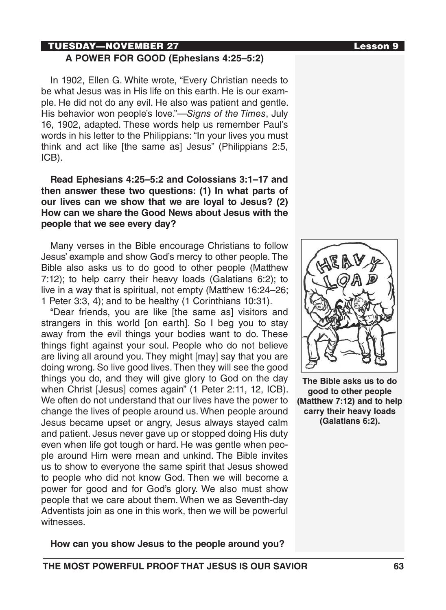# TUESDAY—NOVEMBER 27 Lesson 9

# **A POWER FOR GOOD (Ephesians 4:25–5:2)**

In 1902, Ellen G. White wrote, "Every Christian needs to be what Jesus was in His life on this earth. He is our example. He did not do any evil. He also was patient and gentle. His behavior won people's love."—*Signs of the Times*, July 16, 1902, adapted. These words help us remember Paul's words in his letter to the Philippians: "In your lives you must think and act like [the same as] Jesus" (Philippians 2:5, ICB).

# **Read Ephesians 4:25–5:2 and Colossians 3:1–17 and then answer these two questions: (1) In what parts of our lives can we show that we are loyal to Jesus? (2) How can we share the Good News about Jesus with the people that we see every day?**

Many verses in the Bible encourage Christians to follow Jesus' example and show God's mercy to other people. The Bible also asks us to do good to other people (Matthew 7:12); to help carry their heavy loads (Galatians 6:2); to live in a way that is spiritual, not empty (Matthew 16:24–26; 1 Peter 3:3, 4); and to be healthy (1 Corinthians 10:31).

"Dear friends, you are like [the same as] visitors and strangers in this world [on earth]. So I beg you to stay away from the evil things your bodies want to do. These things fight against your soul. People who do not believe are living all around you. They might [may] say that you are doing wrong. So live good lives. Then they will see the good things you do, and they will give glory to God on the day when Christ [Jesus] comes again" (1 Peter 2:11, 12, ICB). We often do not understand that our lives have the power to change the lives of people around us. When people around Jesus became upset or angry, Jesus always stayed calm and patient. Jesus never gave up or stopped doing His duty even when life got tough or hard. He was gentle when people around Him were mean and unkind. The Bible invites us to show to everyone the same spirit that Jesus showed to people who did not know God. Then we will become a power for good and for God's glory. We also must show people that we care about them. When we as Seventh-day Adventists join as one in this work, then we will be powerful witnesses.

**The Bible asks us to do good to other people (Matthew 7:12) and to help carry their heavy loads (Galatians 6:2).**

# **How can you show Jesus to the people around you?**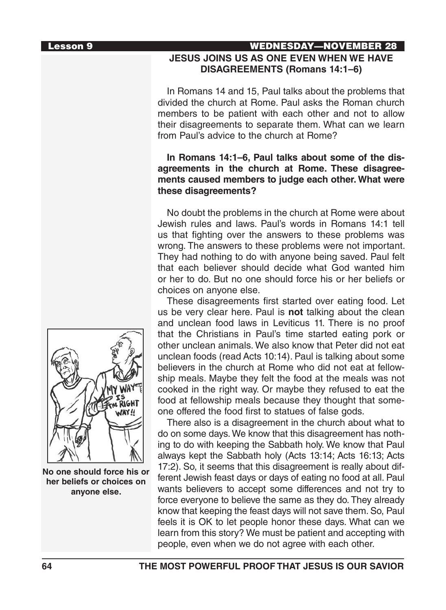# Lesson 9 WEDNESDAY—NOVEMBER 28 **JESUS JOINS US AS ONE EVEN WHEN WE HAVE DISAGREEMENTS (Romans 14:1–6)**

In Romans 14 and 15, Paul talks about the problems that divided the church at Rome. Paul asks the Roman church members to be patient with each other and not to allow their disagreements to separate them. What can we learn from Paul's advice to the church at Rome?

# **In Romans 14:1–6, Paul talks about some of the disagreements in the church at Rome. These disagreements caused members to judge each other. What were these disagreements?**

No doubt the problems in the church at Rome were about Jewish rules and laws. Paul's words in Romans 14:1 tell us that fighting over the answers to these problems was wrong. The answers to these problems were not important. They had nothing to do with anyone being saved. Paul felt that each believer should decide what God wanted him or her to do. But no one should force his or her beliefs or choices on anyone else.

These disagreements first started over eating food. Let us be very clear here. Paul is **not** talking about the clean and unclean food laws in Leviticus 11. There is no proof that the Christians in Paul's time started eating pork or other unclean animals. We also know that Peter did not eat unclean foods (read Acts 10:14). Paul is talking about some believers in the church at Rome who did not eat at fellowship meals. Maybe they felt the food at the meals was not cooked in the right way. Or maybe they refused to eat the food at fellowship meals because they thought that someone offered the food first to statues of false gods.

There also is a disagreement in the church about what to do on some days. We know that this disagreement has nothing to do with keeping the Sabbath holy. We know that Paul always kept the Sabbath holy (Acts 13:14; Acts 16:13; Acts 17:2). So, it seems that this disagreement is really about different Jewish feast days or days of eating no food at all. Paul wants believers to accept some differences and not try to force everyone to believe the same as they do. They already know that keeping the feast days will not save them. So, Paul feels it is OK to let people honor these days. What can we learn from this story? We must be patient and accepting with people, even when we do not agree with each other.



**No one should force his or her beliefs or choices on anyone else.**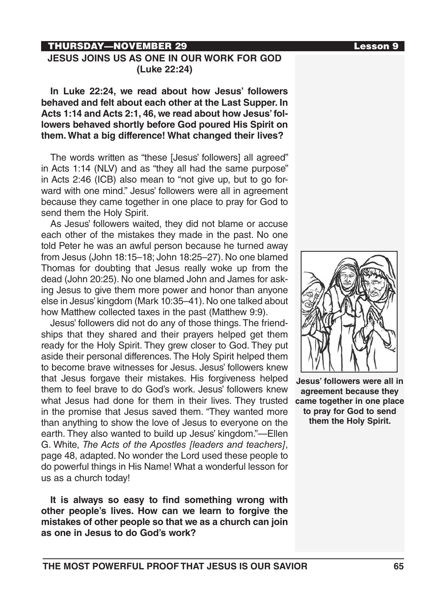# THURSDAY—NOVEMBER 29 Lesson 9

# **JESUS JOINS US AS ONE IN OUR WORK FOR GOD (Luke 22:24)**

**In Luke 22:24, we read about how Jesus' followers behaved and felt about each other at the Last Supper. In Acts 1:14 and Acts 2:1, 46, we read about how Jesus' followers behaved shortly before God poured His Spirit on them. What a big difference! What changed their lives?**

The words written as "these [Jesus' followers] all agreed" in Acts 1:14 (NLV) and as "they all had the same purpose" in Acts 2:46 (ICB) also mean to "not give up, but to go forward with one mind." Jesus' followers were all in agreement because they came together in one place to pray for God to send them the Holy Spirit.

As Jesus' followers waited, they did not blame or accuse each other of the mistakes they made in the past. No one told Peter he was an awful person because he turned away from Jesus (John 18:15–18; John 18:25–27). No one blamed Thomas for doubting that Jesus really woke up from the dead (John 20:25). No one blamed John and James for asking Jesus to give them more power and honor than anyone else in Jesus' kingdom (Mark 10:35–41). No one talked about how Matthew collected taxes in the past (Matthew 9:9).

Jesus' followers did not do any of those things. The friendships that they shared and their prayers helped get them ready for the Holy Spirit. They grew closer to God. They put aside their personal differences. The Holy Spirit helped them to become brave witnesses for Jesus. Jesus' followers knew that Jesus forgave their mistakes. His forgiveness helped them to feel brave to do God's work. Jesus' followers knew what Jesus had done for them in their lives. They trusted in the promise that Jesus saved them. "They wanted more than anything to show the love of Jesus to everyone on the earth. They also wanted to build up Jesus' kingdom."—Ellen G. White, *The Acts of the Apostles [leaders and teachers]*, page 48, adapted. No wonder the Lord used these people to do powerful things in His Name! What a wonderful lesson for us as a church today!

**It is always so easy to find something wrong with other people's lives. How can we learn to forgive the mistakes of other people so that we as a church can join as one in Jesus to do God's work?**



**Jesus' followers were all in agreement because they came together in one place to pray for God to send them the Holy Spirit.**